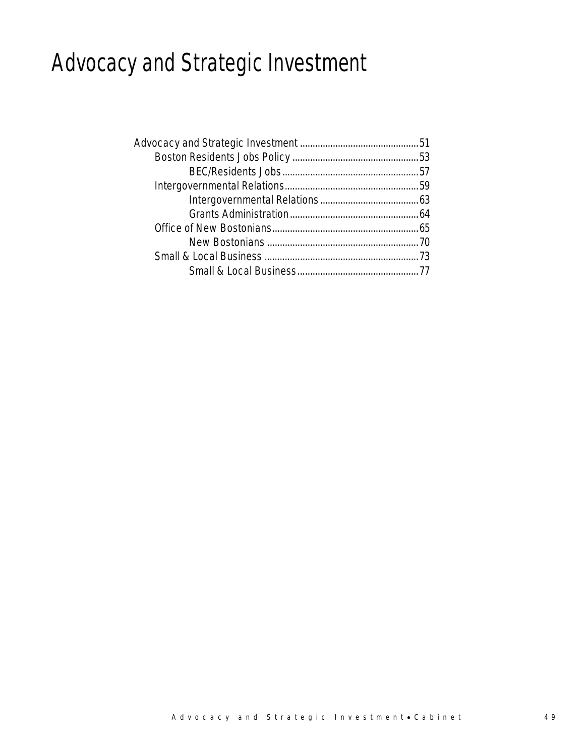# Advocacy and Strategic Investment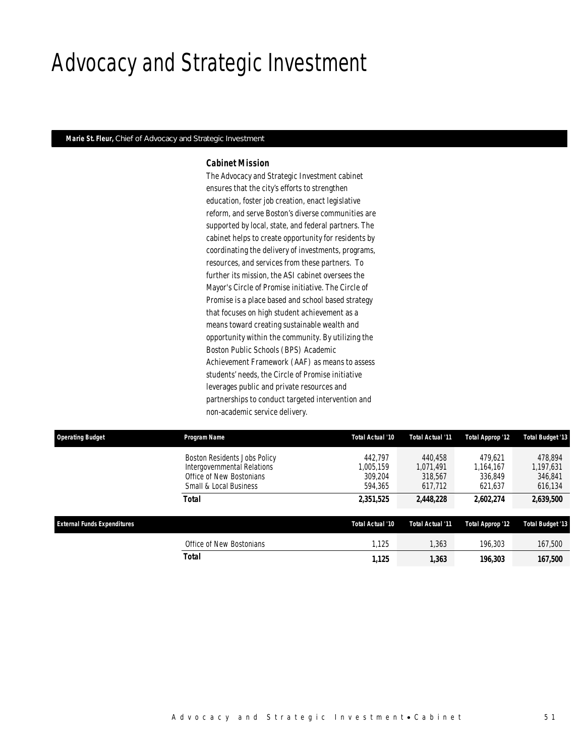### Advocacy and Strategic Investment

#### *Marie St. Fleur, Chief of Advocacy and Strategic Investment*

#### *Cabinet Mission*

The Advocacy and Strategic Investment cabinet ensures that the city's efforts to strengthen education, foster job creation, enact legislative reform, and serve Boston's diverse communities are supported by local, state, and federal partners. The cabinet helps to create opportunity for residents by coordinating the delivery of investments, programs, resources, and services from these partners. To further its mission, the ASI cabinet oversees the Mayor's Circle of Promise initiative. The Circle of Promise is a place based and school based strategy that focuses on high student achievement as a means toward creating sustainable wealth and opportunity within the community. By utilizing the Boston Public Schools (BPS) Academic Achievement Framework (AAF) as means to assess students' needs, the Circle of Promise initiative leverages public and private resources and partnerships to conduct targeted intervention and non-academic service delivery.

| <b>Operating Budget</b>            | <b>Program Name</b>                                                                                               | Total Actual '10                           | Total Actual '11                           | <b>Total Approp '12</b>                    | <b>Total Budget '13</b>                    |
|------------------------------------|-------------------------------------------------------------------------------------------------------------------|--------------------------------------------|--------------------------------------------|--------------------------------------------|--------------------------------------------|
|                                    | Boston Residents Jobs Policy<br>Intergovernmental Relations<br>Office of New Bostonians<br>Small & Local Business | 442.797<br>1.005.159<br>309.204<br>594.365 | 440.458<br>1.071.491<br>318,567<br>617.712 | 479.621<br>1.164.167<br>336,849<br>621.637 | 478.894<br>1,197,631<br>346,841<br>616,134 |
|                                    | Total                                                                                                             | 2,351,525                                  | 2,448,228                                  | 2,602,274                                  | 2,639,500                                  |
| <b>External Funds Expenditures</b> |                                                                                                                   | Total Actual '10                           | Total Actual '11                           | Total Approp '12                           | <b>Total Budget '13</b>                    |
|                                    | Office of New Bostonians                                                                                          | 1.125                                      | 1.363                                      | 196.303                                    | 167,500                                    |
|                                    | <b>Total</b>                                                                                                      | 1.125                                      | 1,363                                      | 196.303                                    | 167,500                                    |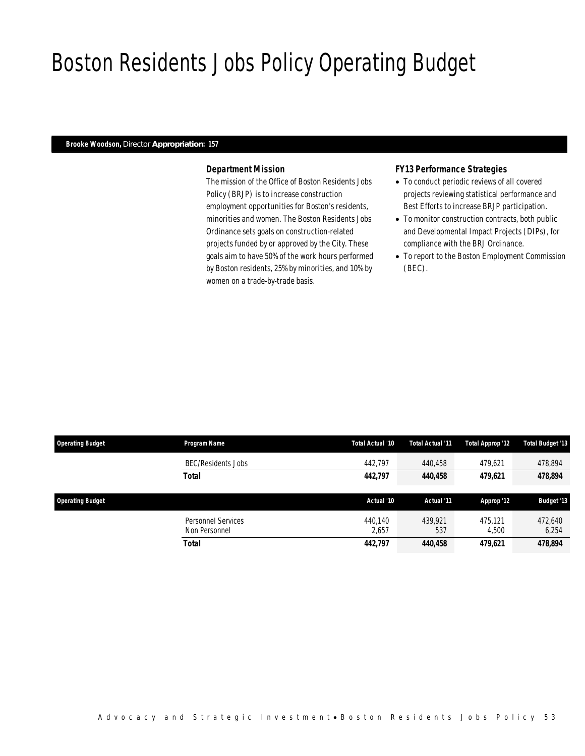## Boston Residents Jobs Policy Operating Budget

#### *Brooke Woodson, Director Appropriation: 157*

### *Department Mission*

The mission of the Office of Boston Residents Jobs Policy (BRJP) is to increase construction employment opportunities for Boston's residents, minorities and women. The Boston Residents Jobs Ordinance sets goals on construction-related projects funded by or approved by the City. These goals aim to have 50% of the work hours performed by Boston residents, 25% by minorities, and 10% by women on a trade-by-trade basis.

#### *FY13 Performance Strategies*

- To conduct periodic reviews of all covered projects reviewing statistical performance and Best Efforts to increase BRJP participation.
- To monitor construction contracts, both public and Developmental Impact Projects (DIPs), for compliance with the BRJ Ordinance.
- To report to the Boston Employment Commission (BEC).

| <b>Operating Budget</b> | Program Name              | Total Actual '10 | Total Actual '11 | Total Approp '12 | Total Budget '13  |
|-------------------------|---------------------------|------------------|------------------|------------------|-------------------|
|                         | <b>BEC/Residents Jobs</b> | 442.797          | 440.458          | 479.621          | 478,894           |
|                         | <b>Total</b>              | 442.797          | 440,458          | 479,621          | 478,894           |
|                         |                           |                  |                  |                  |                   |
|                         |                           |                  |                  |                  |                   |
| <b>Operating Budget</b> |                           | Actual '10       | Actual '11       | Approp '12       | <b>Budget '13</b> |
|                         | Personnel Services        | 440.140          | 439.921          | 475.121          | 472.640           |
|                         | Non Personnel             | 2,657            | 537              | 4,500            | 6,254             |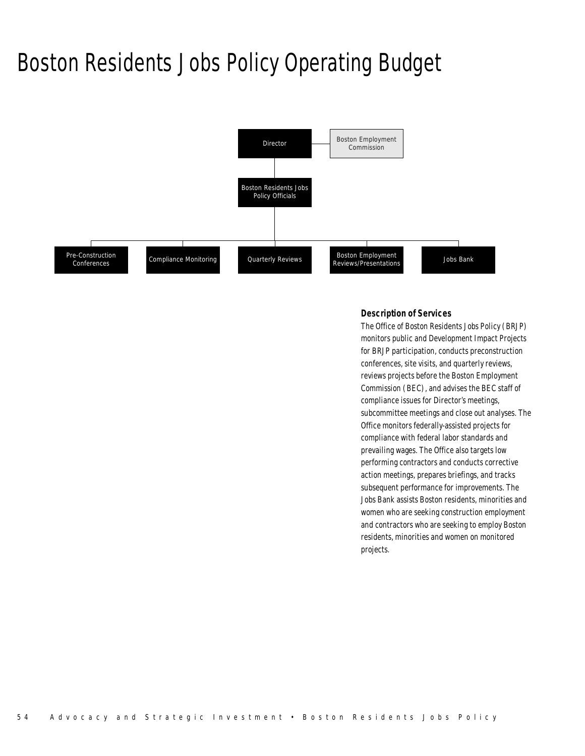### Boston Residents Jobs Policy Operating Budget



### *Description of Services*

The Office of Boston Residents Jobs Policy (BRJP) monitors public and Development Impact Projects for BRJP participation, conducts preconstruction conferences, site visits, and quarterly reviews, reviews projects before the Boston Employment Commission (BEC), and advises the BEC staff of compliance issues for Director's meetings, subcommittee meetings and close out analyses. The Office monitors federally-assisted projects for compliance with federal labor standards and prevailing wages. The Office also targets low performing contractors and conducts corrective action meetings, prepares briefings, and tracks subsequent performance for improvements. The Jobs Bank assists Boston residents, minorities and women who are seeking construction employment and contractors who are seeking to employ Boston residents, minorities and women on monitored projects.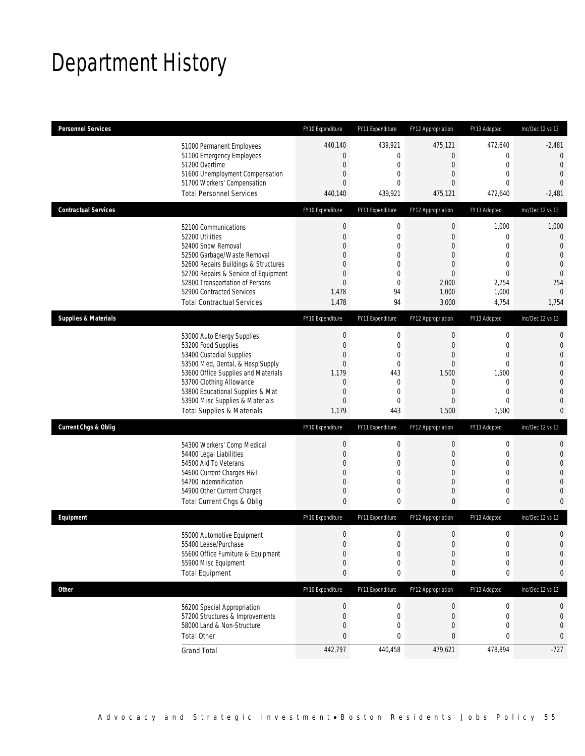# Department History

| <b>Personnel Services</b>       |                                                                         | FY10 Expenditure                | FY11 Expenditure                | FY12 Appropriation      | FY13 Adopted                    | Inc/Dec 12 vs 13                 |
|---------------------------------|-------------------------------------------------------------------------|---------------------------------|---------------------------------|-------------------------|---------------------------------|----------------------------------|
|                                 | 51000 Permanent Employees                                               | 440,140                         | 439,921                         | 475,121                 | 472,640                         | $-2,481$                         |
|                                 | 51100 Emergency Employees                                               | 0                               | $\mathbf 0$                     | $\overline{0}$          | $\mathbf 0$                     | $\mathbf 0$                      |
|                                 | 51200 Overtime<br>51600 Unemployment Compensation                       | $\mathbf 0$<br>0                | $\mathbf 0$<br>0                | $\mathbf 0$<br>0        | $\mathbf 0$<br>$\mathbf{0}$     | $\overline{0}$<br>$\mathbf{0}$   |
|                                 | 51700 Workers' Compensation                                             | $\overline{0}$                  | 0                               | 0                       | $\mathbf 0$                     | $\theta$                         |
|                                 | <b>Total Personnel Services</b>                                         | 440,140                         | 439,921                         | 475,121                 | 472,640                         | $-2,481$                         |
| <b>Contractual Services</b>     |                                                                         | FY10 Expenditure                | FY11 Expenditure                | FY12 Appropriation      | FY13 Adopted                    | Inc/Dec 12 vs 13                 |
|                                 | 52100 Communications                                                    | $\boldsymbol{0}$                | $\boldsymbol{0}$                | 0                       | 1,000                           | 1,000                            |
|                                 | 52200 Utilities                                                         | $\mathbf 0$                     | $\mathbf 0$                     | $\mathbf 0$             | $\mathbf 0$                     | $\mathbf 0$                      |
|                                 | 52400 Snow Removal                                                      | 0                               | 0                               | 0                       | $\mathbf{0}$                    | $\overline{0}$                   |
|                                 | 52500 Garbage/Waste Removal                                             | 0                               | $\mathbf 0$                     | 0                       | $\mathbf{0}$                    | $\mathbf{0}$                     |
|                                 | 52600 Repairs Buildings & Structures                                    | 0                               | 0                               | 0                       | $\mathbf 0$                     | $\mathbf 0$                      |
|                                 | 52700 Repairs & Service of Equipment<br>52800 Transportation of Persons | 0<br>0                          | $\mathbf 0$<br>$\overline{0}$   | $\overline{0}$<br>2,000 | $\mathbf{0}$<br>2,754           | $\overline{0}$<br>754            |
|                                 | 52900 Contracted Services                                               | 1,478                           | 94                              | 1,000                   | 1,000                           | $\overline{0}$                   |
|                                 | <b>Total Contractual Services</b>                                       | 1,478                           | 94                              | 3,000                   | 4,754                           | 1,754                            |
| <b>Supplies &amp; Materials</b> |                                                                         | FY10 Expenditure                | FY11 Expenditure                | FY12 Appropriation      | FY13 Adopted                    | Inc/Dec 12 vs 13                 |
|                                 | 53000 Auto Energy Supplies                                              | $\boldsymbol{0}$                | $\boldsymbol{0}$                | 0                       | $\mathbf 0$                     | $\mathbf{0}$                     |
|                                 | 53200 Food Supplies                                                     | $\mathbf 0$                     | $\mathbf 0$                     | $\mathbf 0$             | $\mathbf 0$                     | $\mathbf 0$                      |
|                                 | 53400 Custodial Supplies                                                | 0                               | 0                               | 0                       | $\mathbf 0$                     | $\mathbf{0}$                     |
|                                 | 53500 Med, Dental, & Hosp Supply                                        | $\mathbf 0$                     | $\mathbf 0$                     | $\mathbf 0$             | $\mathbf{0}$                    | $\overline{0}$                   |
|                                 | 53600 Office Supplies and Materials                                     | 1,179                           | 443                             | 1,500                   | 1,500                           | $\mathbf 0$                      |
|                                 | 53700 Clothing Allowance                                                | $\mathbf 0$                     | 0                               | 0                       | $\mathbf 0$                     | $\overline{0}$                   |
|                                 | 53800 Educational Supplies & Mat<br>53900 Misc Supplies & Materials     | 0<br>0                          | 0<br>$\mathbf{0}$               | $\overline{0}$<br>0     | $\mathbf{0}$<br>$\mathbf{0}$    | $\overline{0}$<br>$\overline{0}$ |
|                                 | <b>Total Supplies &amp; Materials</b>                                   | 1,179                           | 443                             | 1,500                   | 1,500                           | $\mathbf{0}$                     |
| <b>Current Chgs &amp; Oblig</b> |                                                                         | FY10 Expenditure                | FY11 Expenditure                | FY12 Appropriation      | FY13 Adopted                    | Inc/Dec 12 vs 13                 |
|                                 |                                                                         |                                 |                                 |                         |                                 |                                  |
|                                 | 54300 Workers' Comp Medical<br>54400 Legal Liabilities                  | $\boldsymbol{0}$<br>$\mathbf 0$ | $\boldsymbol{0}$<br>$\mathbf 0$ | 0<br>$\mathbf 0$        | $\boldsymbol{0}$<br>$\mathbf 0$ | $\mathbf{0}$<br>$\mathbf 0$      |
|                                 | 54500 Aid To Veterans                                                   | 0                               | 0                               | 0                       | $\mathbf{0}$                    | $\overline{0}$                   |
|                                 | 54600 Current Charges H&I                                               | 0                               | $\overline{0}$                  | $\overline{0}$          | $\mathbf 0$                     | $\overline{0}$                   |
|                                 | 54700 Indemnification                                                   | 0                               | $\overline{0}$                  | 0                       | $\mathbf{0}$                    | $\mathbf 0$                      |
|                                 | 54900 Other Current Charges                                             | 0                               | 0                               | 0                       | $\mathbf 0$                     | $\mathbf{0}$                     |
|                                 | Total Current Chgs & Oblig                                              | $\mathbf{0}$                    | 0                               | $\overline{0}$          | $\mathbf 0$                     | $\overline{0}$                   |
| Equipment                       |                                                                         | FY10 Expenditure                | FY11 Expenditure                | FY12 Appropriation      | FY13 Adopted                    | Inc/Dec 12 vs 13                 |
|                                 | 55000 Automotive Equipment                                              | $\mathbf 0$                     | $\mathbf 0$                     | 0                       | $\mathbf 0$                     | $\mathbf 0$                      |
|                                 | 55400 Lease/Purchase                                                    | $\overline{0}$                  | $\Omega$                        | 0                       | $\mathbf{0}$                    | $\overline{0}$                   |
|                                 | 55600 Office Furniture & Equipment                                      | $\boldsymbol{0}$                | 0                               | $\boldsymbol{0}$        | $\boldsymbol{0}$                | $\mathbf 0$                      |
|                                 | 55900 Misc Equipment                                                    | $\mathbf 0$                     | $\mathbf 0$                     | $\mathbf 0$             | $\mathbf 0$                     | $\mathbf 0$                      |
|                                 | <b>Total Equipment</b>                                                  | 0                               | 0                               | 0                       | 0                               | 0                                |
| <b>Other</b>                    |                                                                         | FY10 Expenditure                | FY11 Expenditure                | FY12 Appropriation      | FY13 Adopted                    | Inc/Dec 12 vs 13                 |
|                                 | 56200 Special Appropriation                                             | $\boldsymbol{0}$                | 0                               | $\overline{0}$          | $\boldsymbol{0}$                | 0                                |
|                                 | 57200 Structures & Improvements                                         | 0                               | $\mathbf 0$                     | 0                       | $\mathbf 0$                     | $\mathbf 0$                      |
|                                 | 58000 Land & Non-Structure                                              | 0                               | $\mathbf 0$                     | $\mathbf 0$             | $\mathbf{0}$                    | $\mathbf 0$                      |
|                                 | <b>Total Other</b>                                                      | 0                               | 0                               | 0                       | 0                               | 0                                |
|                                 | <b>Grand Total</b>                                                      | 442,797                         | 440,458                         | 479,621                 | 478,894                         | $-727$                           |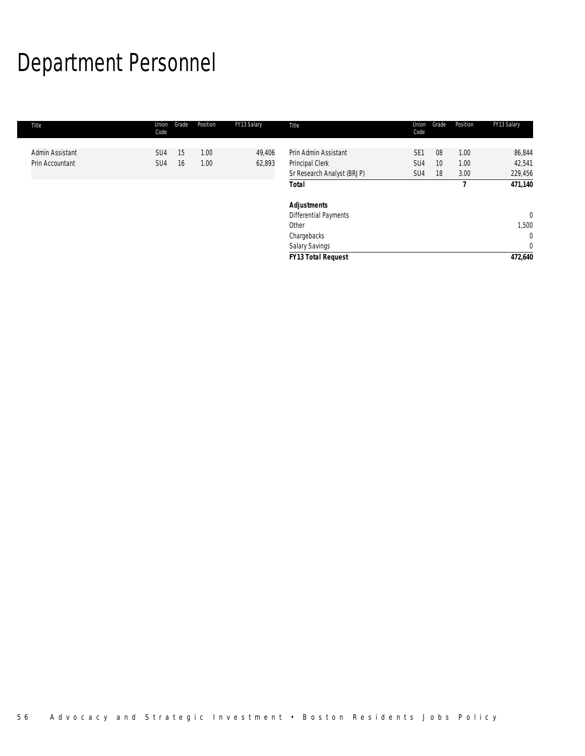# Department Personnel

| Title           | Union<br>Code   | Grade | Position | FY13 Salary | Title                                         | Union<br>Code          | Grade    | Position     | FY13 Salary       |
|-----------------|-----------------|-------|----------|-------------|-----------------------------------------------|------------------------|----------|--------------|-------------------|
| Admin Assistant | SU <sub>4</sub> | 15    | 1.00     | 49,406      | Prin Admin Assistant                          | SE <sub>1</sub>        | 08       | 1.00         | 86,844            |
| Prin Accountant | SU <sub>4</sub> | 16    | 1.00     | 62,893      | Principal Clerk<br>Sr Research Analyst (BRJP) | SU <sub>4</sub><br>SU4 | 10<br>18 | 1.00<br>3.00 | 42,541<br>229,456 |
|                 |                 |       |          |             | <b>Total</b>                                  |                        |          |              | 471,140           |
|                 |                 |       |          |             | <b>Adjustments</b>                            |                        |          |              |                   |
|                 |                 |       |          |             | Differential Payments                         |                        |          |              | $\overline{0}$    |
|                 |                 |       |          |             | Other                                         |                        |          |              | 1,500             |
|                 |                 |       |          |             | Chargebacks                                   |                        |          |              | $\mathbf{0}$      |
|                 |                 |       |          |             | <b>Salary Savings</b>                         |                        |          |              | $\mathbf{0}$      |
|                 |                 |       |          |             | <b>FY13 Total Request</b>                     |                        |          |              | 472,640           |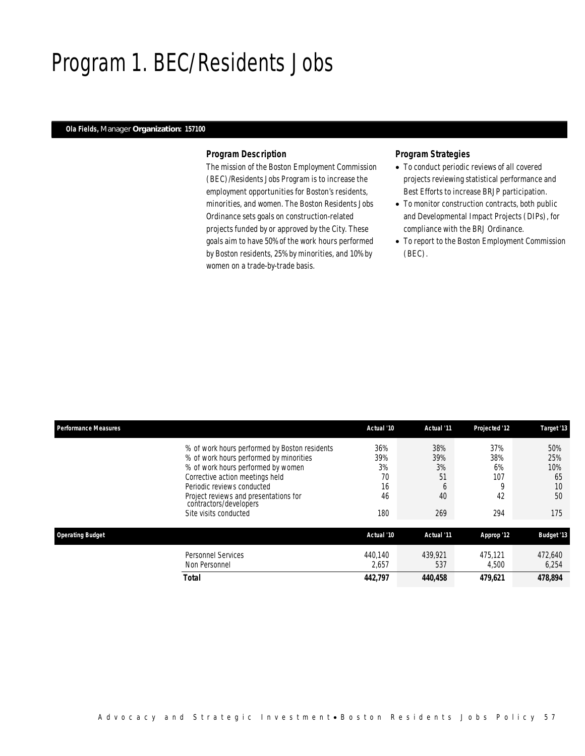### Program 1. BEC/Residents Jobs

#### *Ola Fields, Manager Organization: 157100*

#### *Program Description*

The mission of the Boston Employment Commission (BEC)/Residents Jobs Program is to increase the employment opportunities for Boston's residents, minorities, and women. The Boston Residents Jobs Ordinance sets goals on construction-related projects funded by or approved by the City. These goals aim to have 50% of the work hours performed by Boston residents, 25% by minorities, and 10% by women on a trade-by-trade basis.

### *Program Strategies*

- To conduct periodic reviews of all covered projects reviewing statistical performance and Best Efforts to increase BRJP participation.
- To monitor construction contracts, both public and Developmental Impact Projects (DIPs), for compliance with the BRJ Ordinance.
- To report to the Boston Employment Commission (BEC).

| <b>Performance Measures</b> |                                                                                                                                                                                                                                                                                             | Actual '10                                | Actual '11                               | Projected '12                             | Target '13                                 |
|-----------------------------|---------------------------------------------------------------------------------------------------------------------------------------------------------------------------------------------------------------------------------------------------------------------------------------------|-------------------------------------------|------------------------------------------|-------------------------------------------|--------------------------------------------|
|                             | % of work hours performed by Boston residents<br>% of work hours performed by minorities<br>% of work hours performed by women<br>Corrective action meetings held<br>Periodic reviews conducted<br>Project reviews and presentations for<br>contractors/developers<br>Site visits conducted | 36%<br>39%<br>3%<br>70<br>16<br>46<br>180 | 38%<br>39%<br>3%<br>51<br>6<br>40<br>269 | 37%<br>38%<br>6%<br>107<br>0<br>42<br>294 | 50%<br>25%<br>10%<br>65<br>10<br>50<br>175 |
| <b>Operating Budget</b>     |                                                                                                                                                                                                                                                                                             | Actual '10                                | Actual '11                               | Approp '12                                | <b>Budget '13</b>                          |
|                             | Personnel Services<br>Non Personnel                                                                                                                                                                                                                                                         | 440.140<br>2,657                          | 439.921<br>537                           | 475.121<br>4.500                          | 472.640<br>6,254                           |
|                             | Total                                                                                                                                                                                                                                                                                       | 442.797                                   | 440,458                                  | 479.621                                   | 478.894                                    |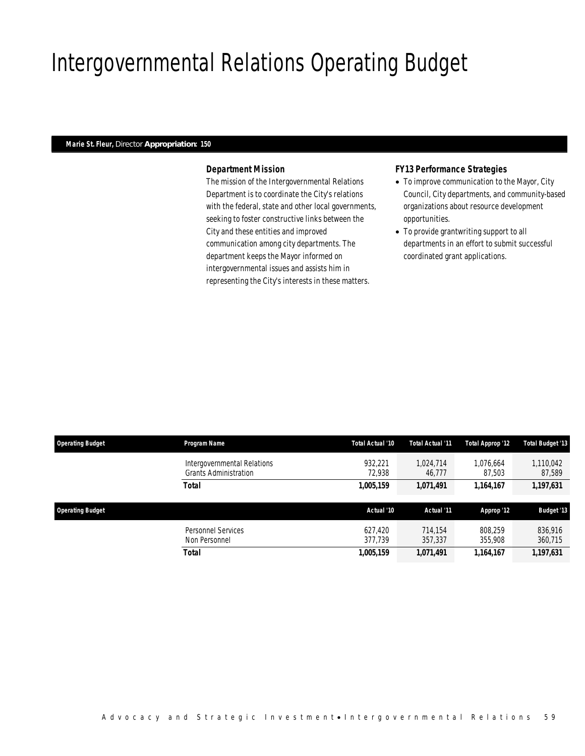# Intergovernmental Relations Operating Budget

#### *Marie St. Fleur, Director Appropriation: 150*

#### *Department Mission*

The mission of the Intergovernmental Relations Department is to coordinate the City's relations with the federal, state and other local governments, seeking to foster constructive links between the City and these entities and improved communication among city departments. The department keeps the Mayor informed on intergovernmental issues and assists him in representing the City's interests in these matters.

### *FY13 Performance Strategies*

- To improve communication to the Mayor, City Council, City departments, and community-based organizations about resource development opportunities.
- To provide grantwriting support to all departments in an effort to submit successful coordinated grant applications.

| <b>Operating Budget</b> | Program Name                                                | Total Actual '10   | Total Actual '11    | Total Approp '12    | <b>Total Budget '13</b> |
|-------------------------|-------------------------------------------------------------|--------------------|---------------------|---------------------|-------------------------|
|                         | Intergovernmental Relations<br><b>Grants Administration</b> | 932.221<br>72.938  | 1.024.714<br>46.777 | 1.076.664<br>87,503 | 1,110,042<br>87,589     |
|                         | <b>Total</b>                                                | 1,005,159          | 1,071,491           | 1,164,167           | 1,197,631               |
|                         |                                                             |                    |                     |                     |                         |
| <b>Operating Budget</b> |                                                             | Actual '10         | Actual '11          | Approp '12          | <b>Budget '13</b>       |
|                         |                                                             |                    |                     |                     |                         |
|                         | Personnel Services<br>Non Personnel                         | 627.420<br>377.739 | 714.154<br>357,337  | 808,259<br>355,908  | 836,916<br>360,715      |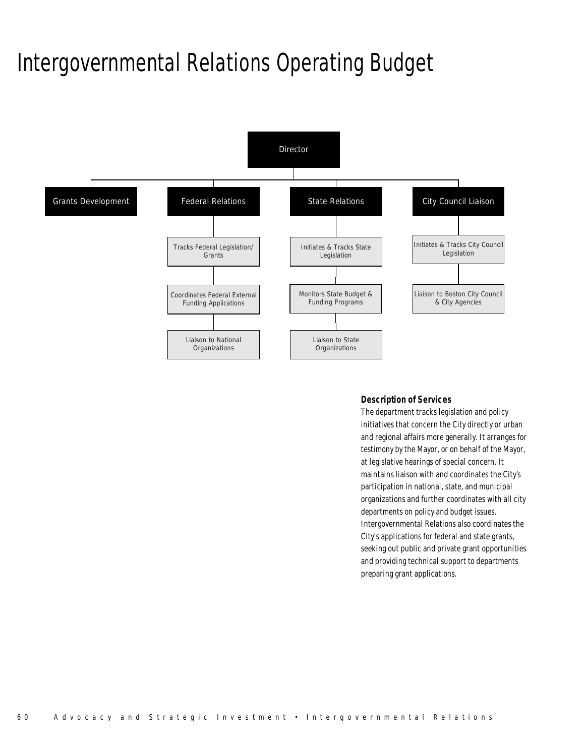### Intergovernmental Relations Operating Budget



### *Description of Services*

The department tracks legislation and policy initiatives that concern the City directly or urban and regional affairs more generally. It arranges for testimony by the Mayor, or on behalf of the Mayor, at legislative hearings of special concern. It maintains liaison with and coordinates the City's participation in national, state, and municipal organizations and further coordinates with all city departments on policy and budget issues. Intergovernmental Relations also coordinates the City's applications for federal and state grants, seeking out public and private grant opportunities and providing technical support to departments preparing grant applications.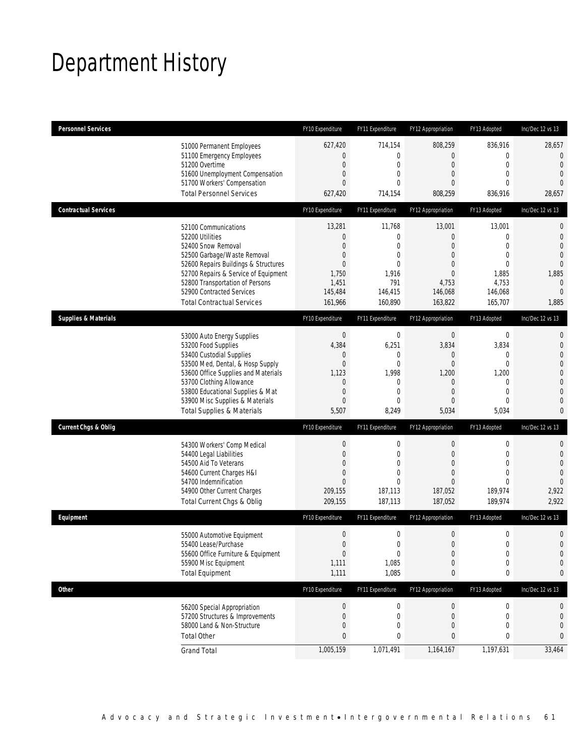# Department History

| <b>Personnel Services</b>       |                                                                              | FY10 Expenditure                   | FY11 Expenditure               | FY12 Appropriation            | FY13 Adopted                | Inc/Dec 12 vs 13                 |
|---------------------------------|------------------------------------------------------------------------------|------------------------------------|--------------------------------|-------------------------------|-----------------------------|----------------------------------|
|                                 | 51000 Permanent Employees<br>51100 Emergency Employees                       | 627,420<br>$\overline{0}$          | 714,154<br>$\boldsymbol{0}$    | 808,259<br>0                  | 836,916<br>$\mathbf 0$      | 28,657<br>$\overline{0}$         |
|                                 | 51200 Overtime                                                               | $\boldsymbol{0}$<br>$\overline{0}$ | $\mathbf 0$<br>$\mathbf{0}$    | $\boldsymbol{0}$<br>0         | $\mathbf 0$<br>$\mathbf{0}$ | $\overline{0}$<br>$\overline{0}$ |
|                                 | 51600 Unemployment Compensation<br>51700 Workers' Compensation               | $\overline{0}$                     | $\Omega$                       | 0                             | $\theta$                    | $\overline{0}$                   |
|                                 | <b>Total Personnel Services</b>                                              | 627,420                            | 714,154                        | 808,259                       | 836,916                     | 28,657                           |
| <b>Contractual Services</b>     |                                                                              | FY10 Expenditure                   | FY11 Expenditure               | FY12 Appropriation            | FY13 Adopted                | Inc/Dec 12 vs 13                 |
|                                 | 52100 Communications                                                         | 13,281                             | 11,768                         | 13,001                        | 13,001                      | $\mathbf{0}$                     |
|                                 | 52200 Utilities                                                              | 0                                  | $\mathbf 0$                    | $\mathbf{0}$                  | $\mathbf{0}$                | $\mathbf 0$                      |
|                                 | 52400 Snow Removal                                                           | $\overline{0}$                     | 0                              | 0                             | $\mathbf{0}$                | $\overline{0}$                   |
|                                 | 52500 Garbage/Waste Removal                                                  | 0<br>$\overline{0}$                | $\overline{0}$<br>$\mathbf{0}$ | 0<br>$\Omega$                 | $\mathbf 0$<br>$\theta$     | $\overline{0}$<br>$\overline{0}$ |
|                                 | 52600 Repairs Buildings & Structures<br>52700 Repairs & Service of Equipment | 1,750                              | 1,916                          | $\mathbf{0}$                  | 1,885                       | 1,885                            |
|                                 | 52800 Transportation of Persons                                              | 1,451                              | 791                            | 4,753                         | 4,753                       | $\mathbf 0$                      |
|                                 | 52900 Contracted Services                                                    | 145,484                            | 146,415                        | 146,068                       | 146,068                     | $\mathbf{0}$                     |
|                                 | <b>Total Contractual Services</b>                                            | 161,966                            | 160,890                        | 163,822                       | 165,707                     | 1,885                            |
| <b>Supplies &amp; Materials</b> |                                                                              | FY10 Expenditure                   | FY11 Expenditure               | FY12 Appropriation            | FY13 Adopted                | Inc/Dec 12 vs 13                 |
|                                 | 53000 Auto Energy Supplies                                                   | $\boldsymbol{0}$                   | $\boldsymbol{0}$               | $\boldsymbol{0}$              | $\boldsymbol{0}$            | $\mathbf{0}$                     |
|                                 | 53200 Food Supplies                                                          | 4,384                              | 6,251                          | 3,834                         | 3,834                       | $\mathbf 0$                      |
|                                 | 53400 Custodial Supplies                                                     | 0                                  | 0                              | 0                             | 0                           | $\mathbf{0}$                     |
|                                 | 53500 Med, Dental, & Hosp Supply                                             | $\boldsymbol{0}$                   | $\mathbf 0$                    | $\boldsymbol{0}$              | $\mathbf 0$                 | $\overline{0}$                   |
|                                 | 53600 Office Supplies and Materials                                          | 1,123                              | 1,998                          | 1,200                         | 1,200                       | $\mathbf 0$                      |
|                                 | 53700 Clothing Allowance                                                     | 0                                  | $\mathbf 0$<br>$\mathbf{0}$    | $\mathbf 0$<br>$\overline{0}$ | $\mathbf 0$<br>$\mathbf{0}$ | $\overline{0}$<br>$\mathbf{0}$   |
|                                 | 53800 Educational Supplies & Mat<br>53900 Misc Supplies & Materials          | $\mathbf 0$<br>$\overline{0}$      | $\Omega$                       | 0                             | $\mathbf{0}$                | $\overline{0}$                   |
|                                 | <b>Total Supplies &amp; Materials</b>                                        | 5,507                              | 8,249                          | 5,034                         | 5,034                       | $\mathbf{0}$                     |
| <b>Current Chgs &amp; Oblig</b> |                                                                              | FY10 Expenditure                   | FY11 Expenditure               | FY12 Appropriation            | FY13 Adopted                | Inc/Dec 12 vs 13                 |
|                                 |                                                                              | $\boldsymbol{0}$                   | $\boldsymbol{0}$               | $\boldsymbol{0}$              | $\boldsymbol{0}$            | $\mathbf{0}$                     |
|                                 | 54300 Workers' Comp Medical<br>54400 Legal Liabilities                       | $\boldsymbol{0}$                   | $\mathbf 0$                    | $\mathbf 0$                   | $\mathbf 0$                 | $\mathbf 0$                      |
|                                 | 54500 Aid To Veterans                                                        | 0                                  | 0                              | 0                             | $\mathbf{0}$                | $\overline{0}$                   |
|                                 | 54600 Current Charges H&I                                                    | $\mathbf 0$                        | $\overline{0}$                 | 0                             | $\mathbf{0}$                | $\overline{0}$                   |
|                                 | 54700 Indemnification                                                        | $\overline{0}$                     | $\Omega$                       | 0                             | $\theta$                    | $\overline{0}$                   |
|                                 | 54900 Other Current Charges                                                  | 209,155                            | 187,113                        | 187,052                       | 189,974                     | 2,922                            |
|                                 | Total Current Chgs & Oblig                                                   | 209,155                            | 187,113                        | 187,052                       | 189,974                     | 2,922                            |
| Equipment                       |                                                                              | FY10 Expenditure                   | FY11 Expenditure               | FY12 Appropriation            | FY13 Adopted                | Inc/Dec 12 vs 13                 |
|                                 | 55000 Automotive Equipment                                                   | $\boldsymbol{0}$                   | $\boldsymbol{0}$               | $\boldsymbol{0}$              | $\boldsymbol{0}$            | $\mathbf 0$                      |
|                                 | 55400 Lease/Purchase                                                         | $\Omega$                           | 0                              | $\mathbf{0}$                  | $\overline{0}$              | $\overline{0}$                   |
|                                 | 55600 Office Furniture & Equipment                                           | $\boldsymbol{0}$                   | $\boldsymbol{0}$               | $\boldsymbol{0}$              | $\boldsymbol{0}$            | $\mathbf 0$                      |
|                                 | 55900 Misc Equipment                                                         | 1,111                              | 1,085                          | $\boldsymbol{0}$              | $\boldsymbol{0}$            | $\mathbf 0$                      |
|                                 | <b>Total Equipment</b>                                                       | 1,111                              | 1,085                          | 0                             | 0                           | 0                                |
| <b>Other</b>                    |                                                                              | FY10 Expenditure                   | FY11 Expenditure               | FY12 Appropriation            | FY13 Adopted                | Inc/Dec 12 vs 13                 |
|                                 | 56200 Special Appropriation                                                  | 0                                  | 0                              | $\boldsymbol{0}$              | 0                           | 0                                |
|                                 | 57200 Structures & Improvements                                              | 0                                  | 0                              | $\mathbf 0$                   | 0                           | $\mathbf 0$                      |
|                                 | 58000 Land & Non-Structure                                                   | $\mathbf 0$                        | 0                              | 0                             | $\mathbf 0$                 | $\mathbf 0$                      |
|                                 | <b>Total Other</b>                                                           | 0                                  | 0                              | 0                             | 0                           | 0                                |
|                                 | <b>Grand Total</b>                                                           | 1,005,159                          | 1,071,491                      | 1,164,167                     | 1,197,631                   | 33,464                           |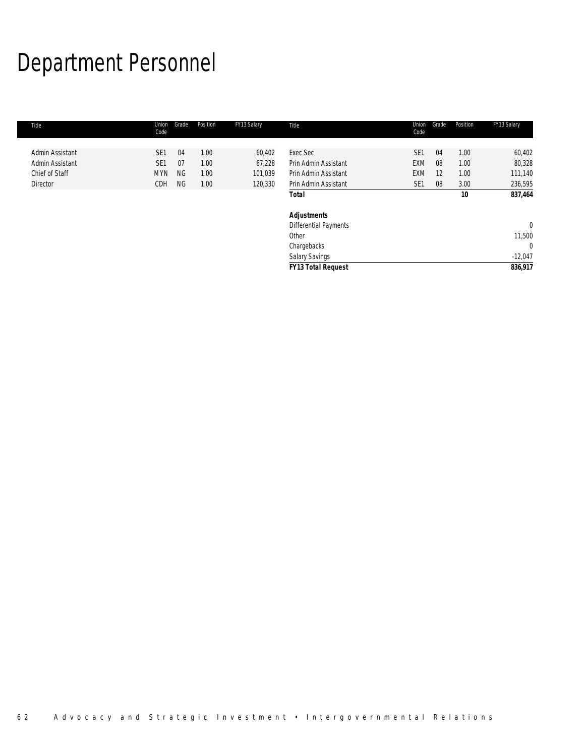# Department Personnel

| Title           | Union<br>Code   | Grade     | Position | FY13 Salary | Title                        | Union<br>Code   | Grade | Position | FY13 Salary  |
|-----------------|-----------------|-----------|----------|-------------|------------------------------|-----------------|-------|----------|--------------|
|                 |                 |           |          |             |                              |                 |       |          |              |
| Admin Assistant | SE <sub>1</sub> | 04        | 1.00     | 60,402      | Exec Sec                     | SE <sub>1</sub> | 04    | 1.00     | 60,402       |
| Admin Assistant | SE <sub>1</sub> | 07        | 1.00     | 67,228      | Prin Admin Assistant         | <b>EXM</b>      | 08    | 1.00     | 80,328       |
| Chief of Staff  | <b>MYN</b>      | <b>NG</b> | 1.00     | 101,039     | Prin Admin Assistant         | <b>EXM</b>      | 12    | 1.00     | 111,140      |
| <b>Director</b> | <b>CDH</b>      | <b>NG</b> | 1.00     | 120,330     | Prin Admin Assistant         | SE <sub>1</sub> | 08    | 3.00     | 236,595      |
|                 |                 |           |          |             | <b>Total</b>                 |                 |       | 10       | 837,464      |
|                 |                 |           |          |             | <b>Adjustments</b>           |                 |       |          |              |
|                 |                 |           |          |             | <b>Differential Payments</b> |                 |       |          | $\mathbf{0}$ |
|                 |                 |           |          |             | Other                        |                 |       |          | 11,500       |
|                 |                 |           |          |             | Chargebacks                  |                 |       |          | $\mathbf{0}$ |
|                 |                 |           |          |             | <b>Salary Savings</b>        |                 |       |          | $-12,047$    |
|                 |                 |           |          |             | <b>FY13 Total Request</b>    |                 |       |          | 836,917      |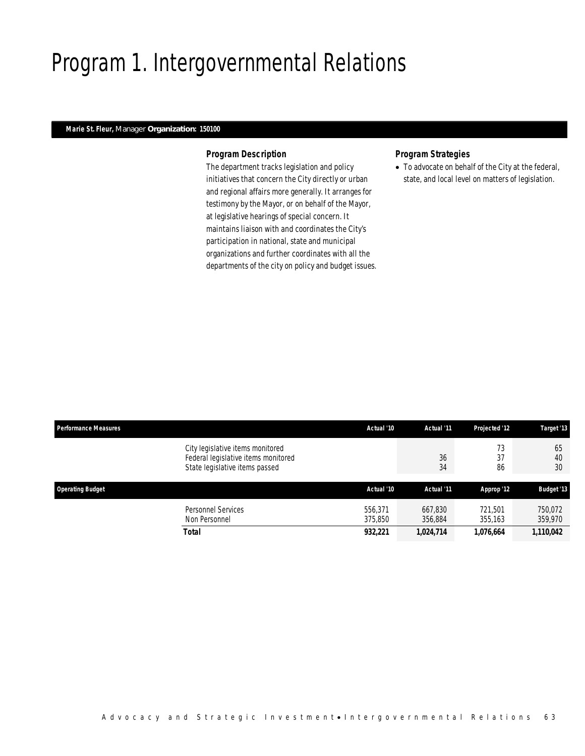# Program 1. Intergovernmental Relations

### *Marie St. Fleur, Manager Organization: 150100*

#### *Program Description*

The department tracks legislation and policy initiatives that concern the City directly or urban and regional affairs more generally. It arranges for testimony by the Mayor, or on behalf of the Mayor, at legislative hearings of special concern. It maintains liaison with and coordinates the City's participation in national, state and municipal organizations and further coordinates with all the departments of the city on policy and budget issues.

### *Program Strategies*

• To advocate on behalf of the City at the federal, state, and local level on matters of legislation.

| <b>Performance Measures</b>                                                                               | Actual '10         | Actual '11         | Projected '12      | Target '13         |
|-----------------------------------------------------------------------------------------------------------|--------------------|--------------------|--------------------|--------------------|
| City legislative items monitored<br>Federal legislative items monitored<br>State legislative items passed |                    | 36<br>34           | 73<br>37<br>86     | 65<br>40<br>30     |
| <b>Operating Budget</b>                                                                                   | Actual '10         | Actual '11         | Approp '12         | <b>Budget '13</b>  |
| Personnel Services<br>Non Personnel                                                                       | 556.371<br>375,850 | 667.830<br>356,884 | 721.501<br>355,163 | 750,072<br>359,970 |
| <b>Total</b>                                                                                              | 932,221            | 1,024,714          | 1,076,664          | 1,110,042          |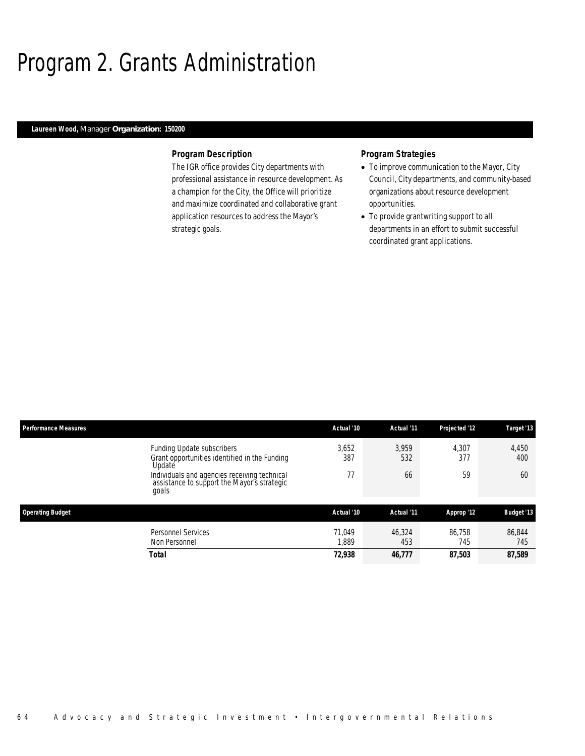### Program 2. Grants Administration

### *Laureen Wood, Manager Organization: 150200*

#### *Program Description*

The IGR office provides City departments with professional assistance in resource development. As a champion for the City, the Office will prioritize and maximize coordinated and collaborative grant application resources to address the Mayor's strategic goals.

### *Program Strategies*

- To improve communication to the Mayor, City Council, City departments, and community-based organizations about resource development opportunities.
- To provide grantwriting support to all departments in an effort to submit successful coordinated grant applications.

| <b>Performance Measures</b> |                                                                                                      | Actual '10      | Actual '11    | Projected '12 | Target '13        |
|-----------------------------|------------------------------------------------------------------------------------------------------|-----------------|---------------|---------------|-------------------|
|                             | Funding Update subscribers<br>Grant opportunities identified in the Funding<br>Update                | 3,652<br>387    | 3.959<br>532  | 4,307<br>377  | 4,450<br>400      |
|                             | Individuals and agencies receiving technical<br>assistance to support the Mayor's strategic<br>goals | 77              | 66            | 59            | 60                |
| <b>Operating Budget</b>     |                                                                                                      | Actual '10      | Actual '11    | Approp '12    | <b>Budget '13</b> |
|                             | <b>Personnel Services</b><br>Non Personnel                                                           | 71.049<br>1,889 | 46.324<br>453 | 86.758<br>745 | 86.844<br>745     |
|                             | Total                                                                                                | 72,938          | 46,777        | 87,503        | 87,589            |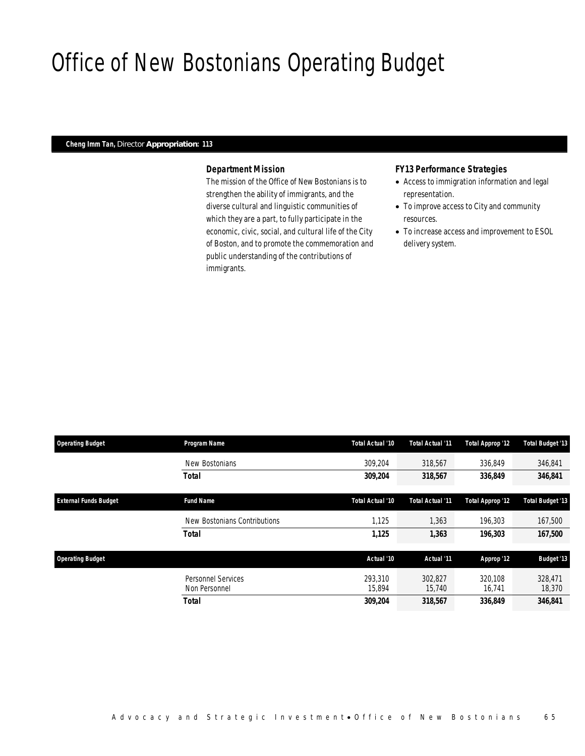### Office of New Bostonians Operating Budget

#### *Cheng Imm Tan, Director Appropriation: 113*

### *Department Mission*

The mission of the Office of New Bostonians is to strengthen the ability of immigrants, and the diverse cultural and linguistic communities of which they are a part, to fully participate in the economic, civic, social, and cultural life of the City of Boston, and to promote the commemoration and public understanding of the contributions of immigrants.

#### *FY13 Performance Strategies*

- Access to immigration information and legal representation.
- To improve access to City and community resources.
- To increase access and improvement to ESOL delivery system.

| <b>Operating Budget</b>      | Program Name                               | Total Actual '10  | Total Actual '11  | Total Approp '12  | <b>Total Budget '13</b> |
|------------------------------|--------------------------------------------|-------------------|-------------------|-------------------|-------------------------|
|                              | New Bostonians                             | 309.204           | 318,567           | 336.849           | 346,841                 |
|                              | <b>Total</b>                               | 309,204           | 318,567           | 336,849           | 346,841                 |
| <b>External Funds Budget</b> | <b>Fund Name</b>                           | Total Actual '10  | Total Actual '11  | Total Approp '12  | <b>Total Budget '13</b> |
|                              | New Bostonians Contributions               | 1.125             | 1.363             | 196.303           | 167.500                 |
|                              | <b>Total</b>                               | 1,125             | 1,363             | 196,303           | 167,500                 |
| <b>Operating Budget</b>      |                                            | Actual '10        | Actual '11        | Approp '12        | <b>Budget '13</b>       |
|                              | <b>Personnel Services</b><br>Non Personnel | 293,310<br>15,894 | 302.827<br>15,740 | 320.108<br>16.741 | 328,471<br>18,370       |
|                              | <b>Total</b>                               | 309,204           | 318,567           | 336.849           | 346,841                 |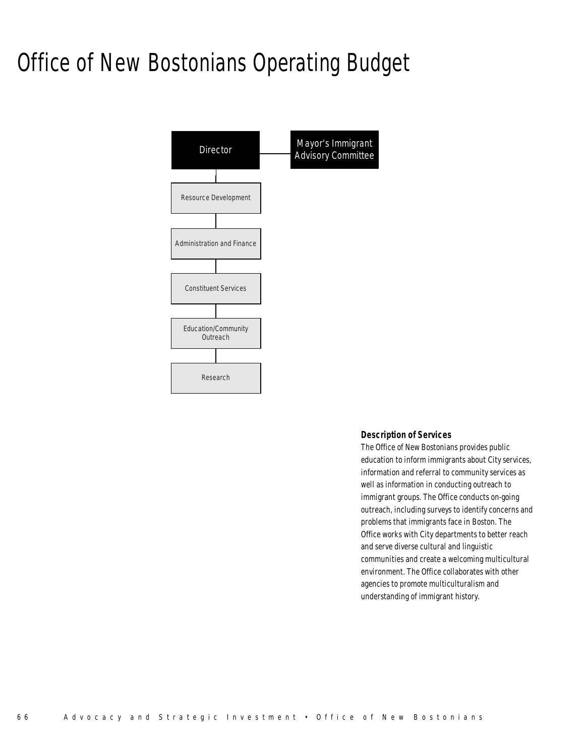# Office of New Bostonians Operating Budget



#### *Description of Services*

The Office of New Bostonians provides public education to inform immigrants about City services, information and referral to community services as well as information in conducting outreach to immigrant groups. The Office conducts on-going outreach, including surveys to identify concerns and problems that immigrants face in Boston. The Office works with City departments to better reach and serve diverse cultural and linguistic communities and create a welcoming multicultural environment. The Office collaborates with other agencies to promote multiculturalism and understanding of immigrant history.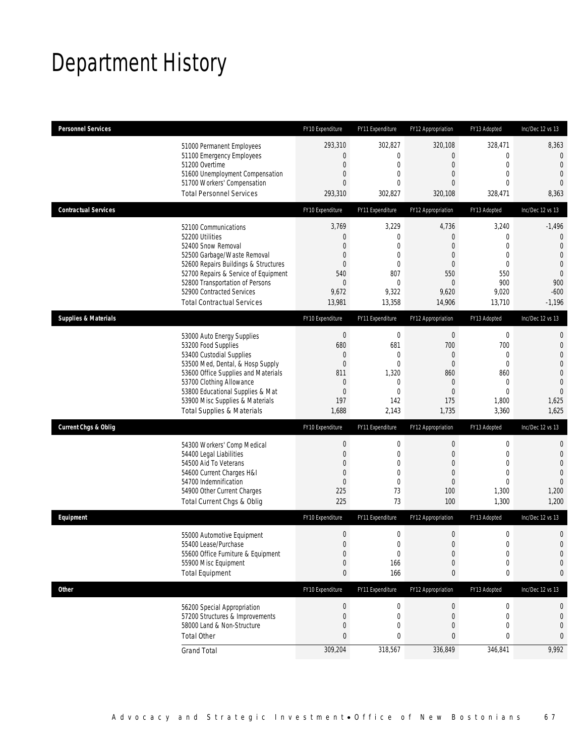# Department History

| <b>Personnel Services</b>       |                                                                                                                                                                                                                                                                                                      | FY10 Expenditure                                                                                 | FY11 Expenditure                                                                            | FY12 Appropriation                                                                               | FY13 Adopted                                                                                              | Inc/Dec 12 vs 13                                                                                                                 |
|---------------------------------|------------------------------------------------------------------------------------------------------------------------------------------------------------------------------------------------------------------------------------------------------------------------------------------------------|--------------------------------------------------------------------------------------------------|---------------------------------------------------------------------------------------------|--------------------------------------------------------------------------------------------------|-----------------------------------------------------------------------------------------------------------|----------------------------------------------------------------------------------------------------------------------------------|
|                                 | 51000 Permanent Employees<br>51100 Emergency Employees<br>51200 Overtime<br>51600 Unemployment Compensation<br>51700 Workers' Compensation<br><b>Total Personnel Services</b>                                                                                                                        | 293,310<br>0<br>$\mathbf 0$<br>0<br>$\overline{0}$<br>293,310                                    | 302,827<br>$\overline{0}$<br>$\mathbf 0$<br>0<br>$\theta$<br>302,827                        | 320,108<br>0<br>$\mathbf 0$<br>0<br>0<br>320,108                                                 | 328,471<br>$\mathbf{0}$<br>$\mathbf 0$<br>$\mathbf{0}$<br>$\mathbf{0}$<br>328,471                         | 8,363<br>$\overline{0}$<br>$\overline{0}$<br>$\mathbf{0}$<br>$\theta$<br>8,363                                                   |
| <b>Contractual Services</b>     |                                                                                                                                                                                                                                                                                                      | FY10 Expenditure                                                                                 | FY11 Expenditure                                                                            | FY12 Appropriation                                                                               | FY13 Adopted                                                                                              | Inc/Dec 12 vs 13                                                                                                                 |
|                                 | 52100 Communications<br>52200 Utilities<br>52400 Snow Removal<br>52500 Garbage/Waste Removal<br>52600 Repairs Buildings & Structures<br>52700 Repairs & Service of Equipment<br>52800 Transportation of Persons<br>52900 Contracted Services<br><b>Total Contractual Services</b>                    | 3,769<br>0<br>0<br>0<br>0<br>540<br>0<br>9,672<br>13,981                                         | 3,229<br>0<br>0<br>$\overline{0}$<br>0<br>807<br>$\boldsymbol{0}$<br>9,322<br>13,358        | 4,736<br>0<br>0<br>0<br>0<br>550<br>0<br>9,620<br>14,906                                         | 3,240<br>$\mathbf 0$<br>$\mathbf{0}$<br>$\mathbf{0}$<br>$\mathbf 0$<br>550<br>900<br>9,020<br>13,710      | $-1,496$<br>$\mathbf 0$<br>$\overline{0}$<br>$\overline{0}$<br>$\mathbf 0$<br>$\overline{0}$<br>900<br>$-600$<br>$-1,196$        |
| <b>Supplies &amp; Materials</b> |                                                                                                                                                                                                                                                                                                      | FY10 Expenditure                                                                                 | FY11 Expenditure                                                                            | FY12 Appropriation                                                                               | FY13 Adopted                                                                                              | Inc/Dec 12 vs 13                                                                                                                 |
|                                 | 53000 Auto Energy Supplies<br>53200 Food Supplies<br>53400 Custodial Supplies<br>53500 Med, Dental, & Hosp Supply<br>53600 Office Supplies and Materials<br>53700 Clothing Allowance<br>53800 Educational Supplies & Mat<br>53900 Misc Supplies & Materials<br><b>Total Supplies &amp; Materials</b> | $\boldsymbol{0}$<br>680<br>0<br>$\mathbf 0$<br>811<br>$\mathbf 0$<br>$\mathbf 0$<br>197<br>1,688 | $\boldsymbol{0}$<br>681<br>0<br>$\mathbf 0$<br>1,320<br>0<br>$\overline{0}$<br>142<br>2,143 | $\boldsymbol{0}$<br>700<br>0<br>$\mathbf 0$<br>860<br>$\theta$<br>$\overline{0}$<br>175<br>1,735 | $\mathbf 0$<br>700<br>$\mathbf{0}$<br>$\mathbf 0$<br>860<br>$\mathbf 0$<br>$\mathbf{0}$<br>1,800<br>3,360 | $\mathbf{0}$<br>$\mathbf 0$<br>$\mathbf{0}$<br>$\overline{0}$<br>$\mathbf 0$<br>$\mathbf{0}$<br>$\overline{0}$<br>1,625<br>1,625 |
| <b>Current Chgs &amp; Oblig</b> |                                                                                                                                                                                                                                                                                                      | FY10 Expenditure                                                                                 | FY11 Expenditure                                                                            | FY12 Appropriation                                                                               | FY13 Adopted                                                                                              | Inc/Dec 12 vs 13                                                                                                                 |
|                                 | 54300 Workers' Comp Medical<br>54400 Legal Liabilities<br>54500 Aid To Veterans<br>54600 Current Charges H&I<br>54700 Indemnification<br>54900 Other Current Charges<br>Total Current Chgs & Oblig                                                                                                   | $\boldsymbol{0}$<br>$\mathbf 0$<br>0<br>0<br>$\mathbf 0$<br>225<br>225                           | $\boldsymbol{0}$<br>$\mathbf 0$<br>0<br>$\overline{0}$<br>$\overline{0}$<br>73<br>73        | 0<br>$\mathbf 0$<br>0<br>$\mathbf 0$<br>0<br>100<br>100                                          | $\boldsymbol{0}$<br>$\mathbf 0$<br>$\mathbf{0}$<br>$\mathbf{0}$<br>$\mathbf{0}$<br>1,300<br>1,300         | $\mathbf{0}$<br>$\mathbf 0$<br>$\overline{0}$<br>$\overline{0}$<br>$\overline{0}$<br>1,200<br>1,200                              |
| Equipment                       |                                                                                                                                                                                                                                                                                                      | FY10 Expenditure                                                                                 | FY11 Expenditure                                                                            | FY12 Appropriation                                                                               | FY13 Adopted                                                                                              | Inc/Dec 12 vs 13                                                                                                                 |
|                                 | 55000 Automotive Equipment<br>55400 Lease/Purchase<br>55600 Office Furniture & Equipment<br>55900 Misc Equipment<br><b>Total Equipment</b>                                                                                                                                                           | $\mathbf 0$<br>$\overline{0}$<br>$\boldsymbol{0}$<br>$\mathbf 0$<br>0                            | $\mathbf 0$<br>$\Omega$<br>$\boldsymbol{0}$<br>166<br>166                                   | $\mathbf 0$<br>0<br>$\boldsymbol{0}$<br>$\mathbf 0$<br>0                                         | $\mathbf 0$<br>$\mathbf{0}$<br>$\boldsymbol{0}$<br>$\mathbf 0$<br>0                                       | $\mathbf 0$<br>$\overline{0}$<br>$\mathbf 0$<br>$\mathbf 0$<br>0                                                                 |
| <b>Other</b>                    |                                                                                                                                                                                                                                                                                                      | FY10 Expenditure                                                                                 | FY11 Expenditure                                                                            | FY12 Appropriation                                                                               | FY13 Adopted                                                                                              | Inc/Dec 12 vs 13                                                                                                                 |
|                                 | 56200 Special Appropriation<br>57200 Structures & Improvements<br>58000 Land & Non-Structure<br><b>Total Other</b>                                                                                                                                                                                   | $\boldsymbol{0}$<br>0<br>$\mathbf 0$<br>0                                                        | 0<br>$\mathbf 0$<br>$\mathbf 0$<br>0                                                        | $\overline{0}$<br>0<br>0<br>0                                                                    | $\boldsymbol{0}$<br>$\mathbf 0$<br>$\mathbf{0}$<br>0                                                      | 0<br>$\mathbf 0$<br>$\mathbf 0$<br>0                                                                                             |
|                                 | <b>Grand Total</b>                                                                                                                                                                                                                                                                                   | 309,204                                                                                          | 318,567                                                                                     | 336,849                                                                                          | 346,841                                                                                                   | 9,992                                                                                                                            |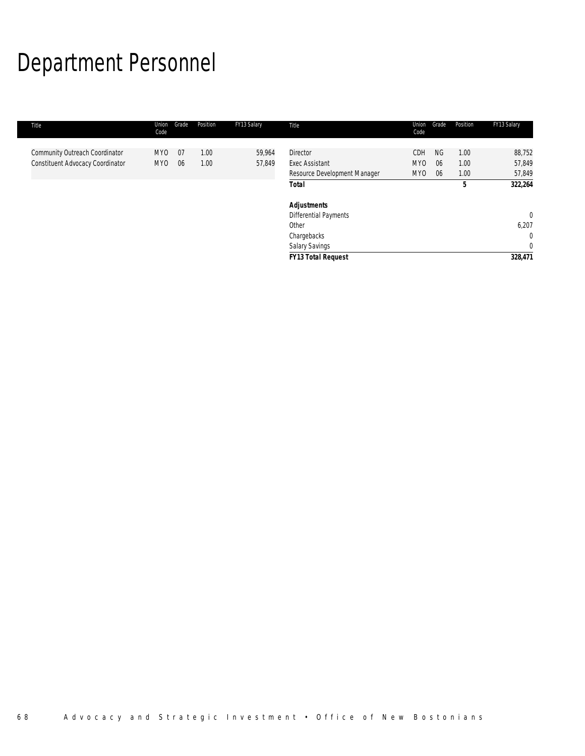# Department Personnel

| Title                            | Union<br>Code | Grade | Position | FY13 Salary | Title                        | Union<br>Code   | Grade     | Position | FY13 Salary    |
|----------------------------------|---------------|-------|----------|-------------|------------------------------|-----------------|-----------|----------|----------------|
| Community Outreach Coordinator   | MYO           | 07    | 1.00     | 59,964      | <b>Director</b>              | <b>CDH</b>      | <b>NG</b> | 1.00     | 88,752         |
| Constituent Advocacy Coordinator | MY0           | - 06  | 1.00     | 57,849      | <b>Exec Assistant</b>        | MY <sub>0</sub> | 06        | 1.00     | 57,849         |
|                                  |               |       |          |             | Resource Development Manager | MY <sub>0</sub> | 06        | 1.00     | 57,849         |
|                                  |               |       |          |             | <b>Total</b>                 |                 |           | 5        | 322,264        |
|                                  |               |       |          |             | <b>Adjustments</b>           |                 |           |          |                |
|                                  |               |       |          |             | Differential Payments        |                 |           |          | $\overline{0}$ |
|                                  |               |       |          |             | Other                        |                 |           |          | 6,207          |
|                                  |               |       |          |             | Chargebacks                  |                 |           |          | $\mathbf{0}$   |
|                                  |               |       |          |             | Salary Savings               |                 |           |          | $\mathbf{0}$   |
|                                  |               |       |          |             | <b>FY13 Total Request</b>    |                 |           |          | 328,471        |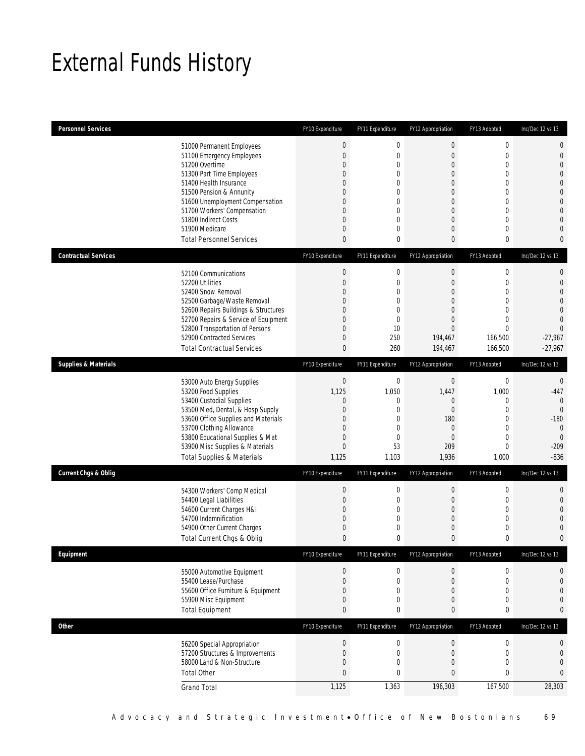# External Funds History

| <b>Personnel Services</b>       |                                                                         | FY10 Expenditure                     | FY11 Expenditure            | FY12 Appropriation                   | FY13 Adopted                | Inc/Dec 12 vs 13              |
|---------------------------------|-------------------------------------------------------------------------|--------------------------------------|-----------------------------|--------------------------------------|-----------------------------|-------------------------------|
|                                 | 51000 Permanent Employees                                               | $\boldsymbol{0}$                     | $\mathbf 0$                 | $\boldsymbol{0}$                     | $\boldsymbol{0}$            | $\mathbf 0$                   |
|                                 | 51100 Emergency Employees                                               | $\boldsymbol{0}$                     | $\overline{0}$              | $\overline{0}$                       | $\mathbf 0$                 | $\mathbf 0$                   |
|                                 | 51200 Overtime                                                          | $\boldsymbol{0}$                     | 0                           | $\boldsymbol{0}$                     | $\mathbf 0$                 | $\mathbf{0}$                  |
|                                 | 51300 Part Time Employees                                               | 0                                    | 0                           | $\overline{0}$                       | $\mathbf{0}$                | $\overline{0}$                |
|                                 | 51400 Health Insurance<br>51500 Pension & Annunity                      | 0<br>0                               | 0<br>0                      | $\mathbf{0}$<br>$\overline{0}$       | $\mathbf{0}$<br>$\mathbf 0$ | $\overline{0}$<br>$\mathbf 0$ |
|                                 | 51600 Unemployment Compensation                                         | 0                                    | $\mathbf{0}$                | $\mathbf{0}$                         | $\mathbf{0}$                | $\mathbf 0$                   |
|                                 | 51700 Workers' Compensation                                             | $\mathbf 0$                          | 0                           | $\mathbf{0}$                         | $\boldsymbol{0}$            | $\mathbf{0}$                  |
|                                 | 51800 Indirect Costs                                                    | 0                                    | 0                           | $\overline{0}$                       | $\mathbf{0}$                | $\overline{0}$                |
|                                 | 51900 Medicare                                                          | $\boldsymbol{0}$                     | 0                           | $\mathbf{0}$                         | $\mathbf 0$                 | $\overline{0}$                |
|                                 | <b>Total Personnel Services</b>                                         | 0                                    | 0                           | $\mathbf{0}$                         | 0                           | $\mathbf{0}$                  |
| <b>Contractual Services</b>     |                                                                         | FY10 Expenditure                     | FY11 Expenditure            | FY12 Appropriation                   | FY13 Adopted                | Inc/Dec 12 vs 13              |
|                                 | 52100 Communications                                                    | $\boldsymbol{0}$                     | $\boldsymbol{0}$            | $\boldsymbol{0}$                     | $\boldsymbol{0}$            | $\mathbf 0$                   |
|                                 | 52200 Utilities                                                         | $\boldsymbol{0}$                     | 0                           | $\mathbf{0}$                         | $\mathbf 0$                 | $\mathbf 0$                   |
|                                 | 52400 Snow Removal                                                      | 0                                    | 0                           | $\overline{0}$                       | $\mathbf{0}$                | $\overline{0}$                |
|                                 | 52500 Garbage/Waste Removal<br>52600 Repairs Buildings & Structures     | 0<br>0                               | $\mathbf 0$<br>$\mathbf{0}$ | $\mathbf{0}$<br>$\mathbf{0}$         | $\mathbf 0$<br>$\mathbf{0}$ | $\overline{0}$<br>$\mathbf 0$ |
|                                 | 52700 Repairs & Service of Equipment                                    | $\boldsymbol{0}$                     | $\mathbf 0$                 | $\boldsymbol{0}$                     | $\mathbf 0$                 | $\overline{0}$                |
|                                 | 52800 Transportation of Persons                                         | 0                                    | 10                          | $\overline{0}$                       | $\mathbf 0$                 | $\overline{0}$                |
|                                 | 52900 Contracted Services                                               | 0                                    | 250                         | 194,467                              | 166,500                     | $-27,967$                     |
|                                 | <b>Total Contractual Services</b>                                       | $\pmb{0}$                            | 260                         | 194,467                              | 166,500                     | $-27,967$                     |
| <b>Supplies &amp; Materials</b> |                                                                         | FY10 Expenditure                     | FY11 Expenditure            | FY12 Appropriation                   | FY13 Adopted                | Inc/Dec 12 vs 13              |
|                                 | 53000 Auto Energy Supplies                                              | $\boldsymbol{0}$                     | $\mathbf 0$                 | $\boldsymbol{0}$                     | $\boldsymbol{0}$            | 0                             |
|                                 | 53200 Food Supplies                                                     | 1,125                                | 1,050                       | 1,447                                | 1,000                       | $-447$                        |
|                                 | 53400 Custodial Supplies                                                | $\mathbf 0$                          | 0                           | $\mathbf{0}$                         | 0                           | $\mathbf{0}$                  |
|                                 | 53500 Med, Dental, & Hosp Supply<br>53600 Office Supplies and Materials | $\mathbf 0$<br>0                     | $\mathbf 0$<br>$\mathbf{0}$ | $\boldsymbol{0}$<br>180              | $\mathbf 0$<br>$\mathbf{0}$ | $\overline{0}$<br>$-180$      |
|                                 | 53700 Clothing Allowance                                                | $\boldsymbol{0}$                     | $\mathbf 0$                 | $\mathbf{0}$                         | $\mathbf 0$                 | $\mathbf{0}$                  |
|                                 | 53800 Educational Supplies & Mat                                        | $\mathbf 0$                          | $\mathbf{0}$                | $\mathbf{0}$                         | $\mathbf{0}$                | $\mathbf 0$                   |
|                                 | 53900 Misc Supplies & Materials                                         | $\overline{0}$                       | 53                          | 209                                  | $\mathbf{0}$                | $-209$                        |
|                                 | <b>Total Supplies &amp; Materials</b>                                   | 1,125                                | 1,103                       | 1,936                                | 1,000                       | $-836$                        |
| <b>Current Chgs &amp; Oblig</b> |                                                                         | FY10 Expenditure                     | FY11 Expenditure            | FY12 Appropriation                   | FY13 Adopted                | Inc/Dec 12 vs 13              |
|                                 | 54300 Workers' Comp Medical                                             | $\boldsymbol{0}$                     | $\boldsymbol{0}$            | $\boldsymbol{0}$                     | $\boldsymbol{0}$            | $\mathbf 0$                   |
|                                 | 54400 Legal Liabilities                                                 | $\boldsymbol{0}$                     | 0                           | $\boldsymbol{0}$                     | $\boldsymbol{0}$            | $\mathbf 0$                   |
|                                 | 54600 Current Charges H&I                                               | $\mathbf{0}$                         | 0                           | $\mathbf{0}$                         | $\mathbf{0}$                | $\overline{0}$                |
|                                 | 54700 Indemnification<br>54900 Other Current Charges                    | $\boldsymbol{0}$<br>$\mathbf 0$      | 0<br>0                      | 0<br>0                               | $\mathbf 0$<br>$\mathbf 0$  | $\overline{0}$<br>0           |
|                                 | Total Current Chgs & Oblig                                              | $\mathbf{0}$                         | 0                           | 0                                    | $\mathbf{0}$                | $\mathbf{0}$                  |
| Equipment                       |                                                                         | FY10 Expenditure                     | FY11 Expenditure            | FY12 Appropriation                   | FY13 Adopted                | Inc/Dec 12 vs 13              |
|                                 |                                                                         |                                      |                             |                                      |                             |                               |
|                                 | 55000 Automotive Equipment<br>55400 Lease/Purchase                      | $\boldsymbol{0}$<br>$\boldsymbol{0}$ | 0<br>$\mathbf 0$            | $\boldsymbol{0}$<br>$\boldsymbol{0}$ | 0<br>$\boldsymbol{0}$       | 0<br>$\mathbf 0$              |
|                                 | 55600 Office Furniture & Equipment                                      | $\boldsymbol{0}$                     | 0                           | $\overline{0}$                       | $\mathbf{0}$                | 0                             |
|                                 | 55900 Misc Equipment                                                    | $\boldsymbol{0}$                     | 0                           | 0                                    | $\boldsymbol{0}$            | $\mathbf{0}$                  |
|                                 | <b>Total Equipment</b>                                                  | 0                                    | 0                           | 0                                    | $\pmb{0}$                   | $\bf{0}$                      |
| Other                           |                                                                         | FY10 Expenditure                     | FY11 Expenditure            | FY12 Appropriation                   | FY13 Adopted                | Inc/Dec 12 vs 13              |
|                                 | 56200 Special Appropriation                                             | $\boldsymbol{0}$                     | $\boldsymbol{0}$            | $\boldsymbol{0}$                     | $\boldsymbol{0}$            | 0                             |
|                                 | 57200 Structures & Improvements                                         | $\boldsymbol{0}$                     | $\mathbf 0$                 | $\boldsymbol{0}$                     | $\boldsymbol{0}$            | 0                             |
|                                 | 58000 Land & Non-Structure                                              | $\boldsymbol{0}$                     | 0                           | 0                                    | 0                           | $\mathbf 0$                   |
|                                 | <b>Total Other</b>                                                      | $\mathbf{0}$                         | 0                           | $\bf{0}$                             | $\pmb{0}$                   | $\bf{0}$                      |
|                                 | <b>Grand Total</b>                                                      | 1,125                                | 1,363                       | 196,303                              | 167,500                     | 28,303                        |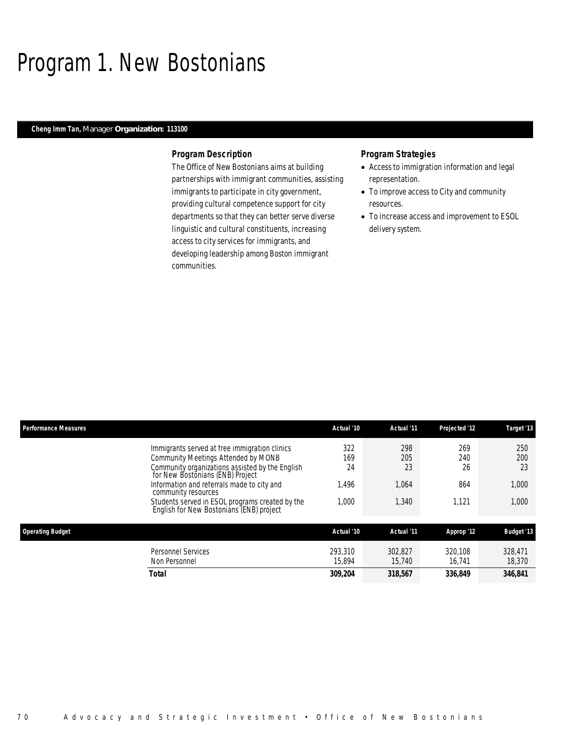### Program 1. New Bostonians

#### *Cheng Imm Tan, Manager Organization: 113100*

#### *Program Description*

The Office of New Bostonians aims at building partnerships with immigrant communities, assisting immigrants to participate in city government, providing cultural competence support for city departments so that they can better serve diverse linguistic and cultural constituents, increasing access to city services for immigrants, and developing leadership among Boston immigrant communities.

### *Program Strategies*

- Access to immigration information and legal representation.
- To improve access to City and community resources.
- To increase access and improvement to ESOL delivery system.

| <b>Performance Measures</b>                                                                 | Actual '10        | Actual '11        | Projected '12     | Target '13        |
|---------------------------------------------------------------------------------------------|-------------------|-------------------|-------------------|-------------------|
| Immigrants served at free immigration clinics                                               | 322               | 298               | 269               | 250               |
| Community Meetings Attended by MONB                                                         | 169               | 205               | 240               | 200               |
| Community organizations assisted by the English<br>for New Bostonians (ENB) Project         | 24                | 23                | 26                | 23                |
| Information and referrals made to city and<br>community resources                           | 1,496             | 1,064             | 864               | 1,000             |
| Students served in ESOL programs created by the<br>English for New Bostonians (ENB) project | 1,000             | 1,340             | 1.121             | 1,000             |
| <b>Operating Budget</b>                                                                     | Actual '10        | Actual '11        | Approp '12        | <b>Budget '13</b> |
| <b>Personnel Services</b><br>Non Personnel                                                  | 293,310<br>15,894 | 302.827<br>15.740 | 320.108<br>16.741 | 328,471<br>18,370 |
| Total                                                                                       | 309,204           | 318.567           | 336.849           | 346.841           |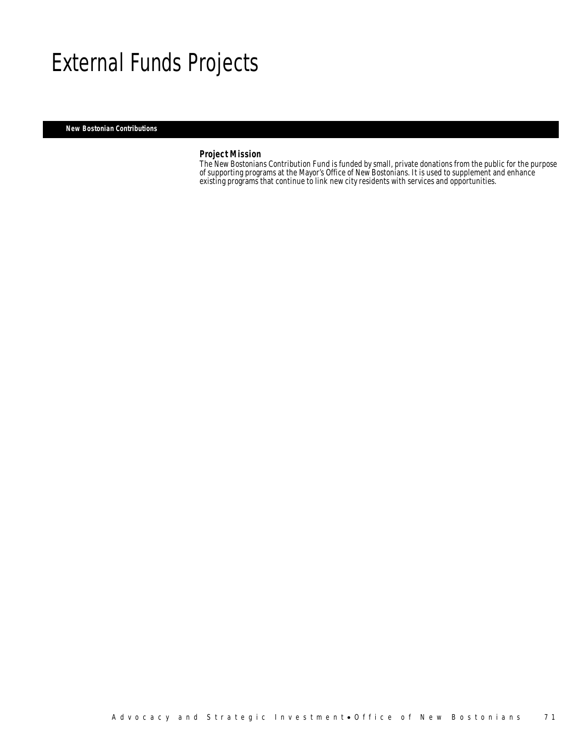### External Funds Projects

*New Bostonian Contributions* 

*Project Mission*<br>The New Bostonians Contribution Fund is funded by small, private donations from the public for the purpose of supporting programs at the Mayor's Office of New Bostonians. It is used to supplement and enhance existing programs that continue to link new city residents with services and opportunities.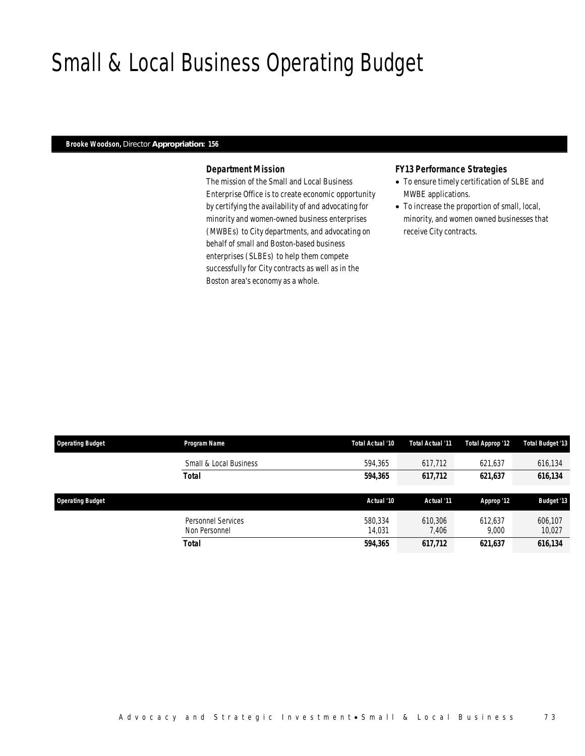### Small & Local Business Operating Budget

#### *Brooke Woodson, Director Appropriation: 156*

### *Department Mission*

The mission of the Small and Local Business Enterprise Office is to create economic opportunity by certifying the availability of and advocating for minority and women-owned business enterprises (MWBEs) to City departments, and advocating on behalf of small and Boston-based business enterprises (SLBEs) to help them compete successfully for City contracts as well as in the Boston area's economy as a whole.

#### *FY13 Performance Strategies*

- To ensure timely certification of SLBE and MWBE applications.
- To increase the proportion of small, local, minority, and women owned businesses that receive City contracts.

| <b>Operating Budget</b> | Program Name                        | Total Actual '10  | Total Actual '11 | Total Approp '12 | <b>Total Budget '13</b> |
|-------------------------|-------------------------------------|-------------------|------------------|------------------|-------------------------|
|                         | Small & Local Business              | 594,365           | 617,712          | 621,637          | 616,134                 |
|                         | <b>Total</b>                        | 594.365           | 617,712          | 621,637          | 616,134                 |
| <b>Operating Budget</b> |                                     | Actual '10        | Actual '11       | Approp '12       | <b>Budget '13</b>       |
|                         | Personnel Services<br>Non Personnel | 580.334<br>14.031 | 610,306<br>7,406 | 612.637<br>9,000 | 606,107<br>10,027       |
|                         | <b>Total</b>                        | 594,365           | 617,712          | 621,637          | 616,134                 |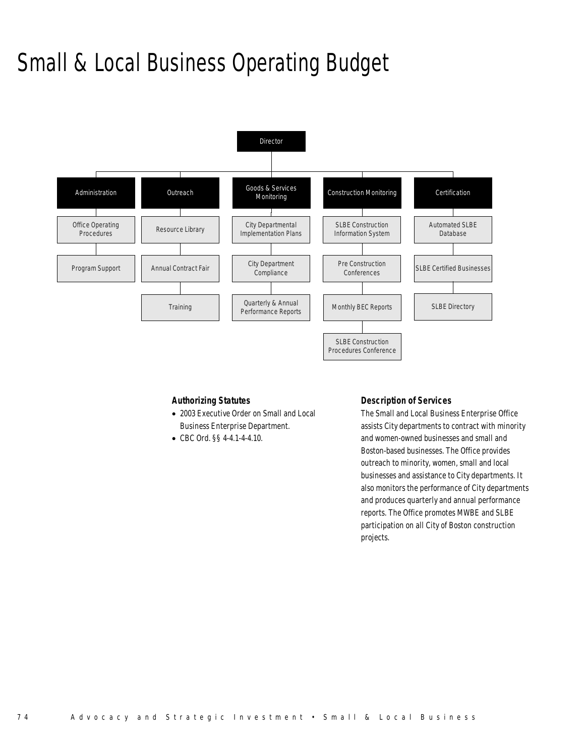# Small & Local Business Operating Budget



### *Authorizing Statutes*

- 2003 Executive Order on Small and Local Business Enterprise Department.
- CBC Ord. §§ 4-4.1-4-4.10.

### *Description of Services*

The Small and Local Business Enterprise Office assists City departments to contract with minority and women-owned businesses and small and Boston-based businesses. The Office provides outreach to minority, women, small and local businesses and assistance to City departments. It also monitors the performance of City departments and produces quarterly and annual performance reports. The Office promotes MWBE and SLBE participation on all City of Boston construction projects.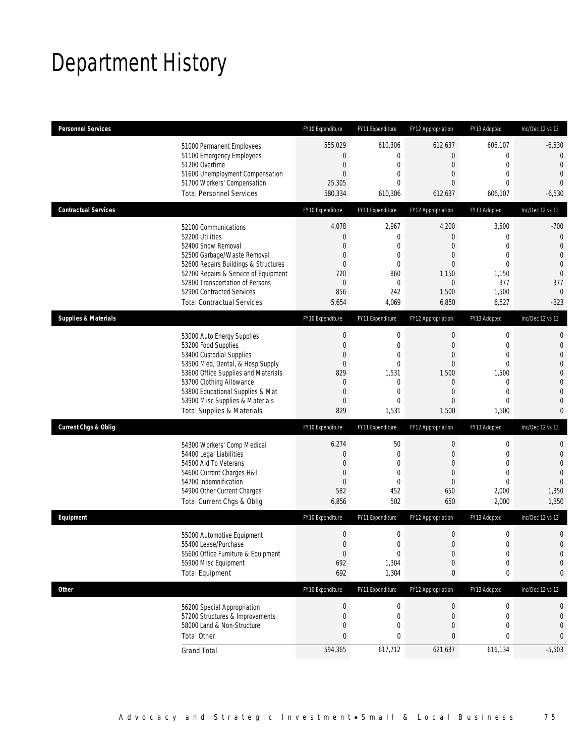# Department History

| <b>Personnel Services</b>       |                                                                                                                                                                                                                                                                                                      | FY10 Expenditure                                                                           | FY11 Expenditure                                                                                   | FY12 Appropriation                                                                                                             | FY13 Adopted                                                                                                                | Inc/Dec 12 vs 13                                                                                                                                   |
|---------------------------------|------------------------------------------------------------------------------------------------------------------------------------------------------------------------------------------------------------------------------------------------------------------------------------------------------|--------------------------------------------------------------------------------------------|----------------------------------------------------------------------------------------------------|--------------------------------------------------------------------------------------------------------------------------------|-----------------------------------------------------------------------------------------------------------------------------|----------------------------------------------------------------------------------------------------------------------------------------------------|
|                                 | 51000 Permanent Employees<br>51100 Emergency Employees<br>51200 Overtime<br>51600 Unemployment Compensation<br>51700 Workers' Compensation<br><b>Total Personnel Services</b>                                                                                                                        | 555,029<br>0<br>$\mathbf 0$<br>0<br>25,305<br>580,334                                      | 610,306<br>0<br>$\mathbf 0$<br>0<br>$\Omega$<br>610,306                                            | 612,637<br>$\overline{0}$<br>$\boldsymbol{0}$<br>$\overline{0}$<br>$\overline{0}$<br>612,637                                   | 606,107<br>$\mathbf 0$<br>$\mathbf 0$<br>$\mathbf{0}$<br>$\mathbf{0}$<br>606,107                                            | $-6,530$<br>$\overline{0}$<br>$\overline{0}$<br>$\overline{0}$<br>$\overline{0}$<br>$-6,530$                                                       |
| <b>Contractual Services</b>     |                                                                                                                                                                                                                                                                                                      | FY10 Expenditure                                                                           | FY11 Expenditure                                                                                   | FY12 Appropriation                                                                                                             | FY13 Adopted                                                                                                                | Inc/Dec 12 vs 13                                                                                                                                   |
|                                 | 52100 Communications<br>52200 Utilities<br>52400 Snow Removal<br>52500 Garbage/Waste Removal<br>52600 Repairs Buildings & Structures<br>52700 Repairs & Service of Equipment<br>52800 Transportation of Persons<br>52900 Contracted Services<br><b>Total Contractual Services</b>                    | 4,078<br>$\mathbf 0$<br>0<br>0<br>0<br>720<br>0<br>856<br>5,654                            | 2,967<br>$\mathbf 0$<br>0<br>0<br>$\overline{0}$<br>860<br>$\mathbf 0$<br>242<br>4,069             | 4,200<br>$\mathbf 0$<br>$\overline{0}$<br>$\mathbf 0$<br>$\overline{0}$<br>1,150<br>$\mathbf 0$<br>1,500<br>6,850              | 3,500<br>$\mathbf{0}$<br>$\mathbf{0}$<br>$\mathbf{0}$<br>$\mathbf{0}$<br>1,150<br>377<br>1,500<br>6,527                     | $-700$<br>$\mathbf 0$<br>$\overline{0}$<br>$\overline{0}$<br>$\mathbf 0$<br>$\mathbf{0}$<br>377<br>$\overline{0}$<br>$-323$                        |
| <b>Supplies &amp; Materials</b> |                                                                                                                                                                                                                                                                                                      | FY10 Expenditure                                                                           | FY11 Expenditure                                                                                   | FY12 Appropriation                                                                                                             | FY13 Adopted                                                                                                                | Inc/Dec 12 vs 13                                                                                                                                   |
|                                 | 53000 Auto Energy Supplies<br>53200 Food Supplies<br>53400 Custodial Supplies<br>53500 Med, Dental, & Hosp Supply<br>53600 Office Supplies and Materials<br>53700 Clothing Allowance<br>53800 Educational Supplies & Mat<br>53900 Misc Supplies & Materials<br><b>Total Supplies &amp; Materials</b> | $\boldsymbol{0}$<br>$\mathbf 0$<br>0<br>0<br>829<br>$\mathbf 0$<br>$\mathbf 0$<br>0<br>829 | $\boldsymbol{0}$<br>$\mathbf 0$<br>0<br>$\overline{0}$<br>1,531<br>0<br>0<br>$\mathbf{0}$<br>1,531 | $\boldsymbol{0}$<br>$\boldsymbol{0}$<br>$\overline{0}$<br>$\mathbf{0}$<br>1,500<br>0<br>$\mathbf 0$<br>$\overline{0}$<br>1,500 | $\mathbf 0$<br>$\mathbf 0$<br>$\mathbf{0}$<br>$\mathbf{0}$<br>1,500<br>$\mathbf 0$<br>$\mathbf{0}$<br>$\mathbf{0}$<br>1,500 | $\mathbf{0}$<br>$\mathbf 0$<br>$\overline{0}$<br>$\overline{0}$<br>$\mathbf 0$<br>$\overline{0}$<br>$\mathbf{0}$<br>$\overline{0}$<br>$\mathbf{0}$ |
| <b>Current Chgs &amp; Oblig</b> |                                                                                                                                                                                                                                                                                                      | FY10 Expenditure                                                                           | FY11 Expenditure                                                                                   | FY12 Appropriation                                                                                                             | FY13 Adopted                                                                                                                | Inc/Dec 12 vs 13                                                                                                                                   |
|                                 | 54300 Workers' Comp Medical<br>54400 Legal Liabilities<br>54500 Aid To Veterans<br>54600 Current Charges H&I<br>54700 Indemnification<br>54900 Other Current Charges<br>Total Current Chgs & Oblig                                                                                                   | 6,274<br>$\mathbf 0$<br>0<br>0<br>0<br>582<br>6,856                                        | 50<br>$\mathbf 0$<br>0<br>$\mathbf 0$<br>$\overline{0}$<br>452<br>502                              | $\boldsymbol{0}$<br>$\boldsymbol{0}$<br>$\overline{0}$<br>$\boldsymbol{0}$<br>$\mathbf 0$<br>650<br>650                        | $\mathbf 0$<br>$\mathbf 0$<br>$\mathbf{0}$<br>$\mathbf{0}$<br>$\overline{0}$<br>2,000<br>2,000                              | $\mathbf{0}$<br>$\mathbf 0$<br>$\overline{0}$<br>$\overline{0}$<br>$\overline{0}$<br>1,350<br>1,350                                                |
| Equipment                       |                                                                                                                                                                                                                                                                                                      | FY10 Expenditure                                                                           | FY11 Expenditure                                                                                   | FY12 Appropriation                                                                                                             | FY13 Adopted                                                                                                                | Inc/Dec 12 vs 13                                                                                                                                   |
|                                 | 55000 Automotive Equipment<br>55400 Lease/Purchase<br>55600 Office Furniture & Equipment<br>55900 Misc Equipment<br><b>Total Equipment</b>                                                                                                                                                           | $\boldsymbol{0}$<br>0<br>$\boldsymbol{0}$<br>692<br>692                                    | $\mathbf 0$<br>$\Omega$<br>$\boldsymbol{0}$<br>1,304<br>1,304                                      | $\mathbf 0$<br>$\overline{0}$<br>$\boldsymbol{0}$<br>$\boldsymbol{0}$<br>0                                                     | $\mathbf 0$<br>0<br>$\boldsymbol{0}$<br>$\mathbf 0$<br>$\boldsymbol{0}$                                                     | $\mathbf 0$<br>$\overline{0}$<br>$\mathbf 0$<br>$\mathbf 0$<br>0                                                                                   |
| <b>Other</b>                    |                                                                                                                                                                                                                                                                                                      | FY10 Expenditure                                                                           | FY11 Expenditure                                                                                   | FY12 Appropriation                                                                                                             | FY13 Adopted                                                                                                                | Inc/Dec 12 vs 13                                                                                                                                   |
|                                 | 56200 Special Appropriation<br>57200 Structures & Improvements<br>58000 Land & Non-Structure<br><b>Total Other</b>                                                                                                                                                                                   | $\pmb{0}$<br>$\boldsymbol{0}$<br>0<br>0                                                    | 0<br>0<br>0<br>0                                                                                   | $\boldsymbol{0}$<br>0<br>0<br>0                                                                                                | $\boldsymbol{0}$<br>$\mathbf 0$<br>$\mathbf 0$<br>0                                                                         | 0<br>$\mathbf 0$<br>$\mathbf 0$<br>0                                                                                                               |
|                                 | <b>Grand Total</b>                                                                                                                                                                                                                                                                                   | 594,365                                                                                    | 617,712                                                                                            | 621,637                                                                                                                        | 616,134                                                                                                                     | $-5,503$                                                                                                                                           |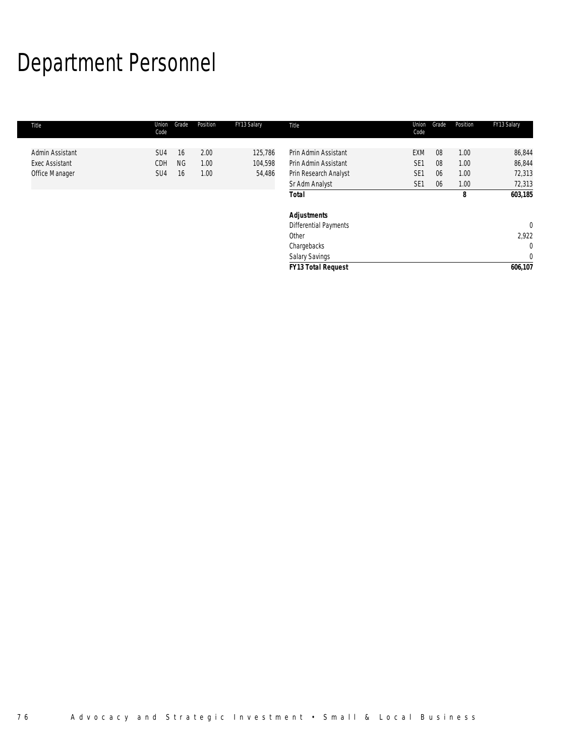# Department Personnel

| Title                                    | Union<br>Code          | Grade           | Position     | FY13 Salary        | Title                                        | Union<br>Code                      | Grade    | Position     | FY13 Salary           |
|------------------------------------------|------------------------|-----------------|--------------|--------------------|----------------------------------------------|------------------------------------|----------|--------------|-----------------------|
| Admin Assistant<br><b>Exec Assistant</b> | SU <sub>4</sub><br>CDH | 16<br><b>NG</b> | 2.00<br>1.00 | 125,786<br>104,598 | Prin Admin Assistant<br>Prin Admin Assistant | <b>EXM</b><br>SE <sub>1</sub>      | 08<br>08 | 1.00<br>1.00 | 86,844<br>86,844      |
| Office Manager                           | SU <sub>4</sub>        | 16              | 1.00         | 54,486             | Prin Research Analyst<br>Sr Adm Analyst      | SE <sub>1</sub><br>SE <sub>1</sub> | 06<br>06 | 1.00<br>1.00 | 72,313<br>72,313      |
|                                          |                        |                 |              |                    | <b>Total</b>                                 |                                    |          | 8            | 603,185               |
|                                          |                        |                 |              |                    | <b>Adjustments</b><br>Differential Payments  |                                    |          |              | $\overline{0}$        |
|                                          |                        |                 |              |                    | Other                                        |                                    |          |              | 2,922<br>$\mathbf{0}$ |
|                                          |                        |                 |              |                    | <b>Salary Savings</b>                        |                                    |          |              | $\mathbf{0}$          |
|                                          |                        |                 |              |                    | Chargebacks<br>FY13 Total Request            |                                    |          |              | 606,107               |